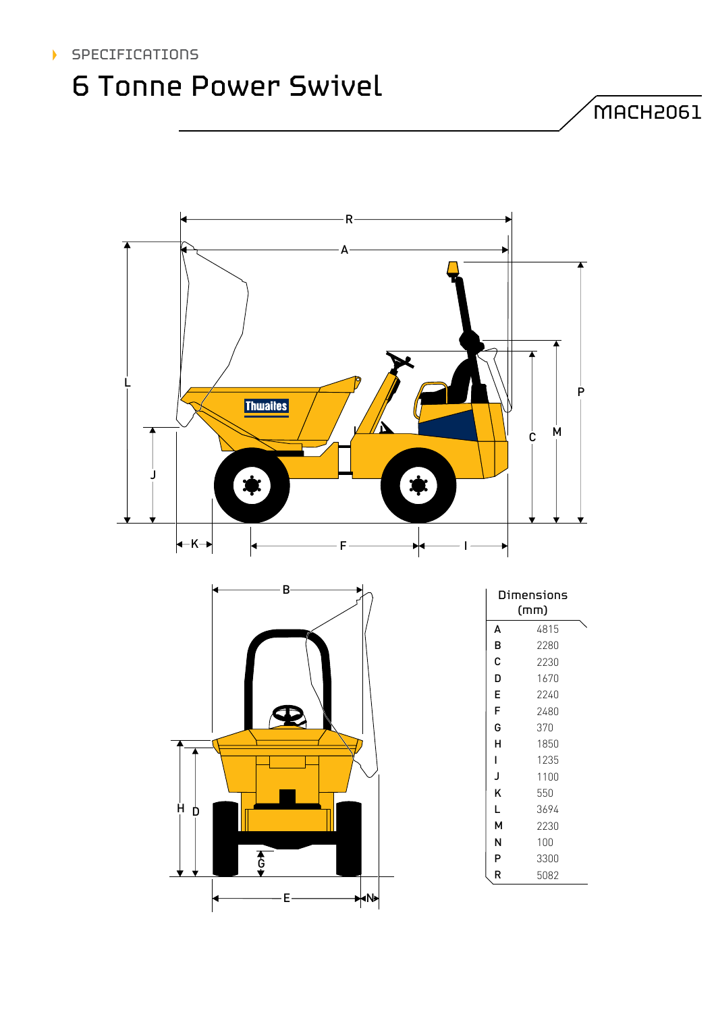### SPECIFICATIONS

## 6 Tonne Power Swivel

 $M$ MACH2061